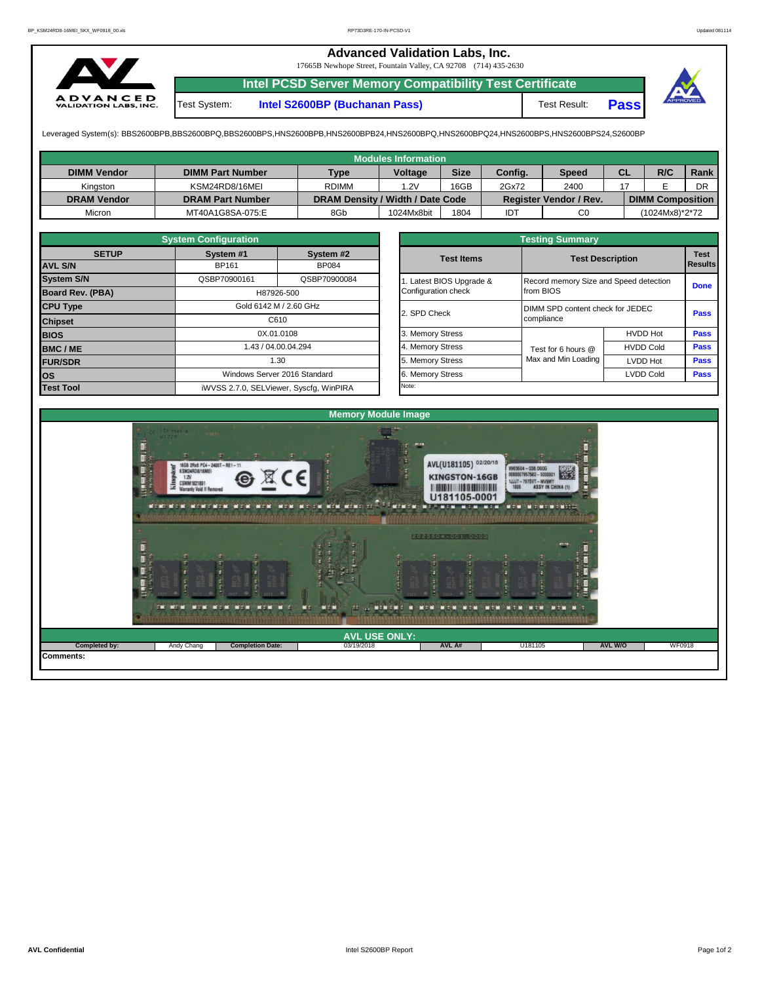## **Advanced Validation Labs, Inc.**

17665B Newhope Street, Fountain Valley, CA 92708 (714) 435-2630



**Intel PCSD Server Memory Compatibility Test Certificate** Test System: **Intel S2600BP (Buchanan Pass)** Test Result: **Pass**



Leveraged System(s): BBS2600BPB,BBS2600BPQ,BBS2600BPS,HNS2600BPB,HNS2600BPB24,HNS2600BPQ,HNS2600BPQ24,HNS2600BPS,HNS2600BPS24,S2600BP

|                    |                         |                                  | <b>Modules Information</b> |             |         |                               |           |                         |      |
|--------------------|-------------------------|----------------------------------|----------------------------|-------------|---------|-------------------------------|-----------|-------------------------|------|
| <b>DIMM Vendor</b> | <b>DIMM Part Number</b> | <b>Type</b>                      | <b>Voltage</b>             | <b>Size</b> | Config. | Speed                         | <b>CL</b> | R/C                     | Rank |
| Kinaston           | KSM24RD8/16MEI          | <b>RDIMM</b>                     | .2V                        | 16GB        | 2Gx72   | 2400                          |           |                         | DR   |
| <b>DRAM Vendor</b> | <b>DRAM Part Number</b> | DRAM Density / Width / Date Code |                            |             |         | <b>Register Vendor / Rev.</b> |           | <b>DIMM Composition</b> |      |
| Micron             | MT40A1G8SA-075:E        | 8Gb                              | 1024Mx8bit                 | 1804        | IDT     | C <sub>0</sub>                |           | (1024Mx8)*2*72          |      |

|                         | <b>System Configuration</b> |                                         |  |                         | <b>Testing Summary</b>           |                                        |                |  |  |  |
|-------------------------|-----------------------------|-----------------------------------------|--|-------------------------|----------------------------------|----------------------------------------|----------------|--|--|--|
| <b>SETUP</b>            | System #1                   | System #2                               |  | <b>Test Items</b>       |                                  | <b>Test Description</b>                | <b>Test</b>    |  |  |  |
| <b>AVL S/N</b>          | <b>BP161</b>                | <b>BP084</b>                            |  |                         |                                  |                                        | <b>Results</b> |  |  |  |
| <b>System S/N</b>       | QSBP70900161                | QSBP70900084                            |  | . Latest BIOS Upgrade & |                                  | Record memory Size and Speed detection |                |  |  |  |
| <b>Board Rev. (PBA)</b> | H87926-500                  |                                         |  | Configuration check     | from BIOS                        | <b>Done</b>                            |                |  |  |  |
| <b>CPU Type</b>         | Gold 6142 M / 2.60 GHz      |                                         |  | 2. SPD Check            | DIMM SPD content check for JEDEC |                                        | <b>Pass</b>    |  |  |  |
| <b>Chipset</b>          | C610                        |                                         |  |                         | compliance                       |                                        |                |  |  |  |
| <b>BIOS</b>             |                             | 0X.01.0108                              |  | 3. Memory Stress        |                                  | <b>HVDD Hot</b>                        | <b>Pass</b>    |  |  |  |
| <b>BMC/ME</b>           | 43 / 04.00.04.294           |                                         |  | 4. Memory Stress        | Test for 6 hours @               | <b>HVDD Cold</b>                       | <b>Pass</b>    |  |  |  |
| <b>FUR/SDR</b>          |                             | 1.30                                    |  | 5. Memory Stress        | Max and Min Loading              | <b>LVDD Hot</b>                        | <b>Pass</b>    |  |  |  |
| lOS.                    |                             | Windows Server 2016 Standard            |  | 6. Memory Stress        |                                  | <b>LVDD Cold</b>                       | Pass           |  |  |  |
| <b>Test Tool</b>        |                             | iWVSS 2.7.0, SELViewer, Syscfq, WinPIRA |  | Note:                   |                                  |                                        |                |  |  |  |

|              | <b>System Configuration</b> |                                    |                       | <b>Testing Summary</b> |                                                |      |  |  |
|--------------|-----------------------------|------------------------------------|-----------------------|------------------------|------------------------------------------------|------|--|--|
| <b>SETUP</b> | System #1                   | System #2                          | <b>Test Items</b>     |                        |                                                |      |  |  |
|              | BP161                       | <b>BP084</b>                       |                       |                        | <b>Test Description</b>                        |      |  |  |
|              | QSBP70900161                | QSBP70900084                       | Latest BIOS Upgrade & |                        | Record memory Size and Speed detection         |      |  |  |
| PBA)         |                             | H87926-500                         | Configuration check   | from BIOS              |                                                |      |  |  |
|              |                             | Gold 6142 M / 2.60 GHz             | 2. SPD Check          |                        | DIMM SPD content check for JEDEC<br>compliance |      |  |  |
|              |                             | C610                               |                       |                        |                                                |      |  |  |
|              |                             | 0X.01.0108                         | 3. Memory Stress      |                        | <b>HVDD Hot</b>                                | Pass |  |  |
|              |                             | 1.43 / 04.00.04.294                | 4. Memory Stress      | Test for 6 hours @     | <b>HVDD Cold</b>                               | Pass |  |  |
|              |                             | 1.30                               | 5. Memory Stress      | Max and Min Loading    | LVDD Hot                                       | Pass |  |  |
|              |                             | Windows Server 2016 Standard       | 6. Memory Stress      |                        | <b>LVDD Cold</b>                               |      |  |  |
|              |                             | iMVSS 270 SELViewer Svecta WinPIRA | Note:                 |                        |                                                |      |  |  |